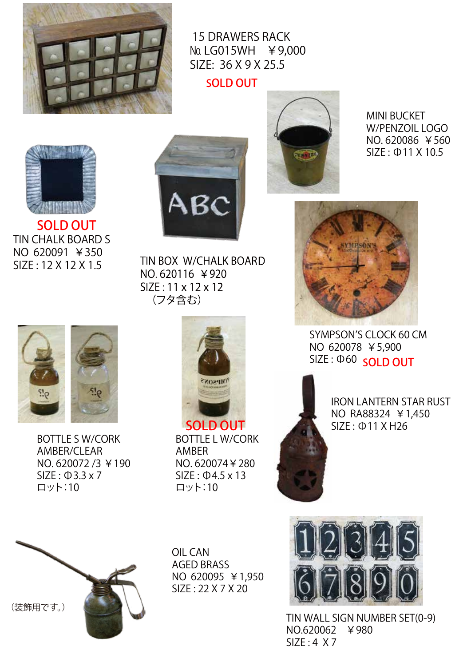

№ LG015WH ¥9,000 15 DRAWERS RACK SIZE: 36 X 9 X 25.5

SOLD OUT



NO.620086 ¥560 MINI BUCKET W/PENZOIL LOGO SIZE : Ф11 X 10.5



N O 620091 ¥350 TIN CHALK BOARD S SIZE : 12 X 12 X 1.5 SOLD OUT



TIN BOX W/CHALK BOARD NO.620116 ¥920 SIZE: 11 x 12 x 12 (フタ含む)



SIZE:  $\Phi$ 60 SOLD OUT ON 620078 ¥5,900 SYMPSON'S CLOCK 60 CM



ON . 620072 /3 ¥190 SIZE : Ф3.3 x 7 BOTTLE S W/CORK AMBER/CLEAR ロット:10



. N O 620074¥280 SIZE : Ф4.5 x 13 BOTTLE L W/CORK AMBER ロット:10

SIZE : Ф11 X H26 ON RA88324 ¥1,450 IRON LANTERN STAR RUST



N O 620095 ¥1,950 OIL CAN AGED BRASS SIZE : 22 X 7 X 20



.N O 620062 ¥980 TIN WALL SIGN NUMBER SET(0-9) SIZE : 4 X 7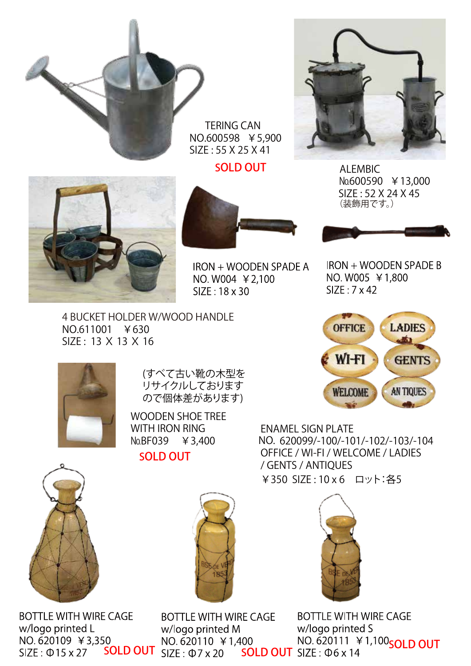

TERING CAN NO.600598 ¥5,900 SIZE : 55 X 25 X 41

SOLD OUT



ALEMBIC №600590 ¥13,000 SIZE : 52 X 24 X 45 (装飾用です。)





IRON + WOODEN SPADE A NO. W004 ¥ 2,100 SIZE: 18 x 30

**IRON + WOODEN SPADE B** NO. W005 ¥1,800  $SIZE: 7 \times 42$ 

4 BUCKET HOLDER W/WOOD HANDLE NO.611001 ¥630 SIZE : 13 X 13 X 16





(すべて古い靴の木型を リサイクルしております ので個体差があります)

WOODEN SHOE TREE WITH IRON RING №BF039 ¥3,400 SOLD OUT

**BOTTLE WITH WIRE CAGE** w/logo printed L  $SIZE: \Phi$  15 x 27



NO. 620099/-100/-101/-102/-103/-104 ENAMEL SIGN PLATE OFFICE / WI-FI / WELCOME / LADIES / GENTS / ANTIQUES ¥350 SIZE : 10 x 6 ロット:各5



**BOTTLE WITH WIRE CAGE** w/logo printed S whe generalized in the second of the second NO. 620111 ¥1,100<br>SIZE: Φ15 x 27 **SOLD OUT** SIZE: Φ7 x 20 **SOLD OUT** SIZE: Φ6 x 14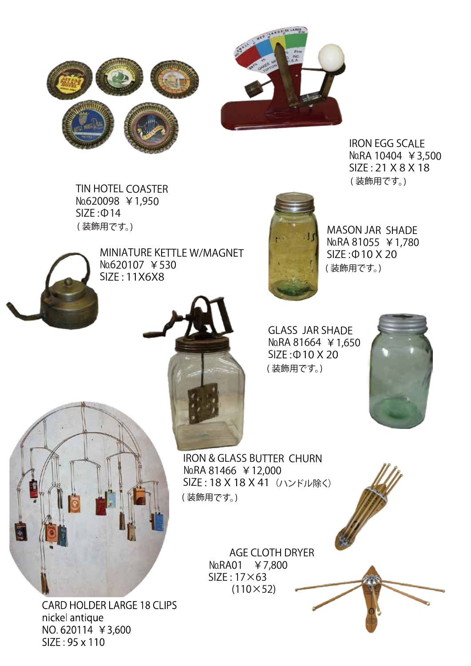



IRON EGG SCALE №RA 10404 ¥3,500 SIZE : 21 X 8 X 18 ( 装飾用です。)

TIN HOTEL COASTER №620098 ¥1,950 SIZE :Ф14 ( 装飾用です。)



MINIATURE KETTLE W/MAGNET №620107 ¥530 SIZE : 11X6X8



MASON JAR SHADE №RA 81055 ¥1,780 SIZE :Ф10 X 20 ( 装飾用です。)



GLASS JAR SHADE №RA 81664 ¥1,650 SIZE :Ф10 X 20 ( 装飾用です。)



IRON & GLASS BUTTER CHURN №RA 81466 ¥12,000 SIZE: 18 X 18 X 41 (ハンドル除く) ( 装飾用です。)

> AGE CLOTH DRYER №RA01 ¥7,800 SIZE : 17×63  $(110 \times 52)$



CARD HOLDER LARGE 18 CLIPS nickel antique NO. 620114 ¥3,600 SIZE: 95 x 110